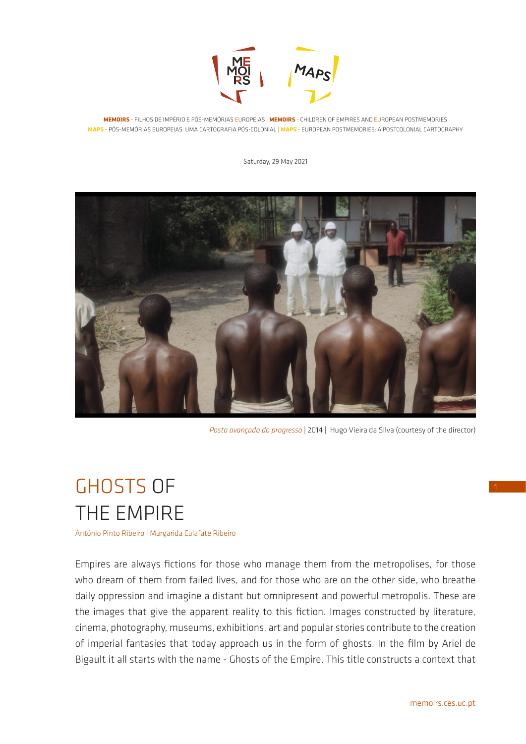

**MEMOIRS** - FILHOS DE IMPÉRIO E PÓS-MEMÓRIAS EUROPEIAS | **MEMOIRS** - CHILDREN OF EMPIRES AND EUROPEAN POSTMEMORIES **MAPS** - PÓS-MEMÓRIAS EUROPEIAS: UMA CARTOGRAFIA PÓS-COLONIAL | **MAPS** - EUROPEAN POSTMEMORIES: A POSTCOLONIAL CARTOGRAPHY

Saturday, 29 May 2021



*Posto avançado do progresso* | 2014 | Hugo Vieira da Silva (courtesy of the director)

# GHOSTS OF THE EMPIRE

António Pinto Ribeiro | Margarida Calafate Ribeiro

Empires are always fictions for those who manage them from the metropolises, for those who dream of them from failed lives, and for those who are on the other side, who breathe daily oppression and imagine a distant but omnipresent and powerful metropolis. These are the images that give the apparent reality to this fiction. Images constructed by literature, cinema, photography, museums, exhibitions, art and popular stories contribute to the creation of imperial fantasies that today approach us in the form of ghosts. In the film by Ariel de Bigault it all starts with the name - Ghosts of the Empire. This title constructs a context that 1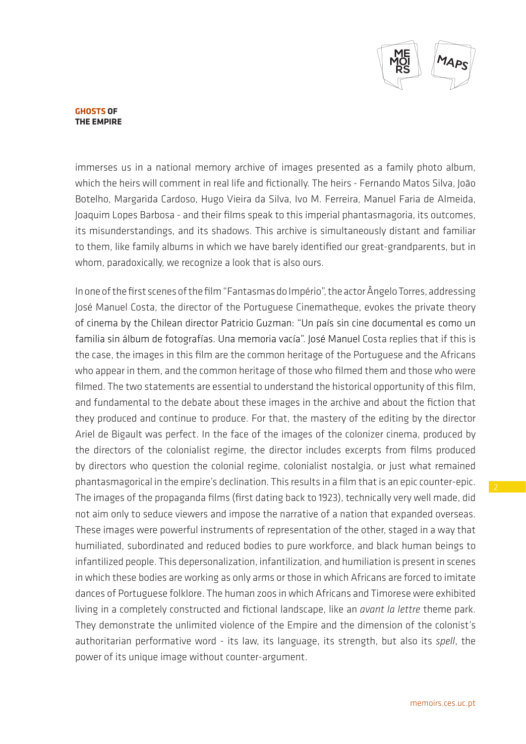

immerses us in a national memory archive of images presented as a family photo album, which the heirs will comment in real life and fictionally. The heirs - Fernando Matos Silva, João Botelho, Margarida Cardoso, Hugo Vieira da Silva, Ivo M. Ferreira, Manuel Faria de Almeida, Joaquim Lopes Barbosa - and their films speak to this imperial phantasmagoria, its outcomes, its misunderstandings, and its shadows. This archive is simultaneously distant and familiar to them, like family albums in which we have barely identified our great-grandparents, but in whom, paradoxically, we recognize a look that is also ours.

In one of the first scenes of the film "Fantasmas do Império", the actor Ângelo Torres, addressing José Manuel Costa, the director of the Portuguese Cinematheque, evokes the private theory of cinema by the Chilean director Patricio Guzman: "Un país sin cine documental es como un familia sin álbum de fotografías. Una memoria vacía". José Manuel Costa replies that if this is the case, the images in this film are the common heritage of the Portuguese and the Africans who appear in them, and the common heritage of those who filmed them and those who were filmed. The two statements are essential to understand the historical opportunity of this film, and fundamental to the debate about these images in the archive and about the fiction that they produced and continue to produce. For that, the mastery of the editing by the director Ariel de Bigault was perfect. In the face of the images of the colonizer cinema, produced by the directors of the colonialist regime, the director includes excerpts from films produced by directors who question the colonial regime, colonialist nostalgia, or just what remained phantasmagorical in the empire's declination. This results in a film that is an epic counter-epic. The images of the propaganda films (first dating back to 1923), technically very well made, did not aim only to seduce viewers and impose the narrative of a nation that expanded overseas. These images were powerful instruments of representation of the other, staged in a way that humiliated, subordinated and reduced bodies to pure workforce, and black human beings to infantilized people. This depersonalization, infantilization, and humiliation is present in scenes in which these bodies are working as only arms or those in which Africans are forced to imitate dances of Portuguese folklore. The human zoos in which Africans and Timorese were exhibited living in a completely constructed and fictional landscape, like an *avant la lettre* theme park. They demonstrate the unlimited violence of the Empire and the dimension of the colonist's authoritarian performative word - its law, its language, its strength, but also its *spell*, the power of its unique image without counter-argument.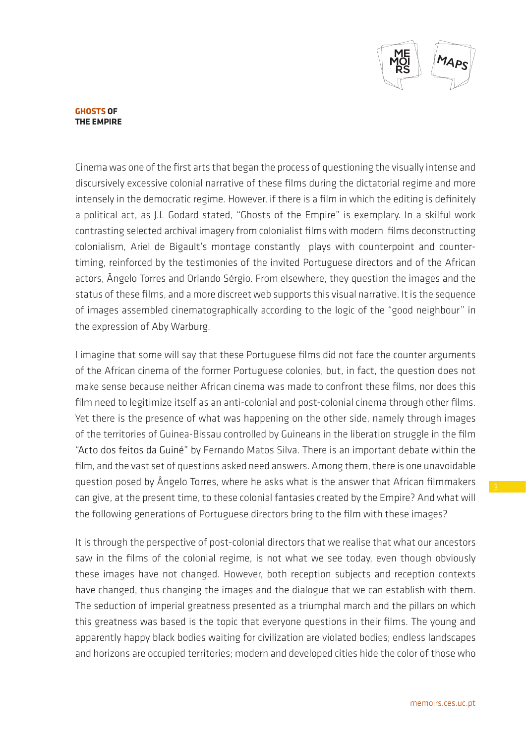

Cinema was one of the first arts that began the process of questioning the visually intense and discursively excessive colonial narrative of these films during the dictatorial regime and more intensely in the democratic regime. However, if there is a film in which the editing is definitely a political act, as J.L Godard stated, "Ghosts of the Empire" is exemplary. In a skilful work contrasting selected archival imagery from colonialist films with modern films deconstructing colonialism, Ariel de Bigault's montage constantly plays with counterpoint and countertiming, reinforced by the testimonies of the invited Portuguese directors and of the African actors, Ângelo Torres and Orlando Sérgio. From elsewhere, they question the images and the status of these films, and a more discreet web supports this visual narrative. It is the sequence of images assembled cinematographically according to the logic of the "good neighbour" in the expression of Aby Warburg.

I imagine that some will say that these Portuguese films did not face the counter arguments of the African cinema of the former Portuguese colonies, but, in fact, the question does not make sense because neither African cinema was made to confront these films, nor does this film need to legitimize itself as an anti-colonial and post-colonial cinema through other films. Yet there is the presence of what was happening on the other side, namely through images of the territories of Guinea-Bissau controlled by Guineans in the liberation struggle in the film "Acto dos feitos da Guiné" by Fernando Matos Silva. There is an important debate within the film, and the vast set of questions asked need answers. Among them, there is one unavoidable question posed by Ângelo Torres, where he asks what is the answer that African filmmakers can give, at the present time, to these colonial fantasies created by the Empire? And what will the following generations of Portuguese directors bring to the film with these images?

It is through the perspective of post-colonial directors that we realise that what our ancestors saw in the films of the colonial regime, is not what we see today, even though obviously these images have not changed. However, both reception subjects and reception contexts have changed, thus changing the images and the dialogue that we can establish with them. The seduction of imperial greatness presented as a triumphal march and the pillars on which this greatness was based is the topic that everyone questions in their films. The young and apparently happy black bodies waiting for civilization are violated bodies; endless landscapes and horizons are occupied territories; modern and developed cities hide the color of those who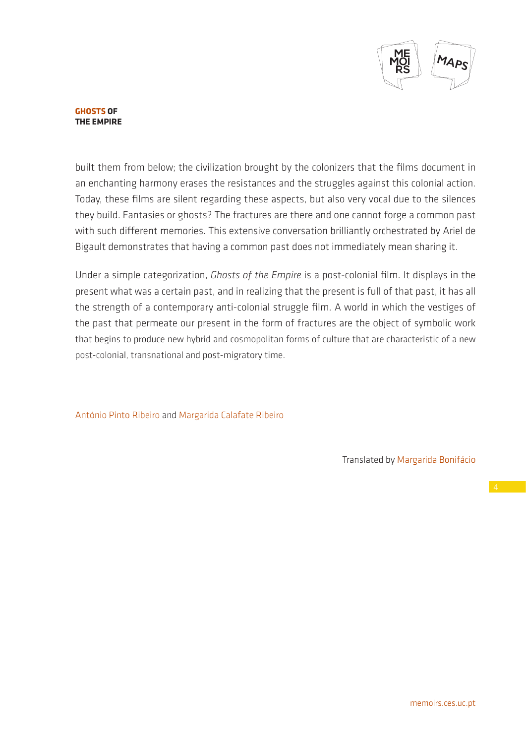

built them from below; the civilization brought by the colonizers that the films document in an enchanting harmony erases the resistances and the struggles against this colonial action. Today, these films are silent regarding these aspects, but also very vocal due to the silences they build. Fantasies or ghosts? The fractures are there and one cannot forge a common past with such different memories. This extensive conversation brilliantly orchestrated by Ariel de Bigault demonstrates that having a common past does not immediately mean sharing it.

Under a simple categorization, *Ghosts of the Empire* is a post-colonial film. It displays in the present what was a certain past, and in realizing that the present is full of that past, it has all the strength of a contemporary anti-colonial struggle film. A world in which the vestiges of the past that permeate our present in the form of fractures are the object of symbolic work that begins to produce new hybrid and cosmopolitan forms of culture that are characteristic of a new post-colonial, transnational and post-migratory time.

António Pinto Ribeiro and Margarida Calafate Ribeiro

Translated by Margarida Bonifácio